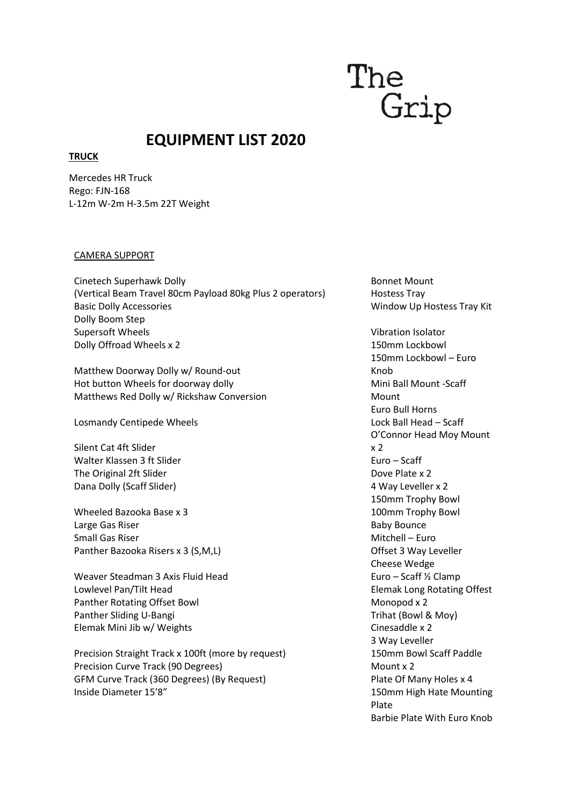## **EQUIPMENT LIST 2020**

## **TRUCK**

Mercedes HR Truck Rego: FJN-168 L-12m W-2m H-3.5m 22T Weight

## CAMERA SUPPORT

Cinetech Superhawk Dolly (Vertical Beam Travel 80cm Payload 80kg Plus 2 operators) Basic Dolly Accessories Dolly Boom Step Supersoft Wheels Dolly Offroad Wheels x 2

Matthew Doorway Dolly w/ Round-out Hot button Wheels for doorway dolly Matthews Red Dolly w/ Rickshaw Conversion

Losmandy Centipede Wheels

Silent Cat 4ft Slider Walter Klassen 3 ft Slider The Original 2ft Slider Dana Dolly (Scaff Slider)

Wheeled Bazooka Base x 3 Large Gas Riser Small Gas Riser Panther Bazooka Risers x 3 (S,M,L)

Weaver Steadman 3 Axis Fluid Head Lowlevel Pan/Tilt Head Panther Rotating Offset Bowl Panther Sliding U-Bangi Elemak Mini Jib w/ Weights

Precision Straight Track x 100ft (more by request) Precision Curve Track (90 Degrees) GFM Curve Track (360 Degrees) (By Request) Inside Diameter 15'8"

Bonnet Mount Hostess Tray Window Up Hostess Tray Kit

Vibration Isolator 150mm Lockbowl 150mm Lockbowl – Euro Knob Mini Ball Mount -Scaff Mount Euro Bull Horns Lock Ball Head – Scaff O'Connor Head Moy Mount x 2 Euro – Scaff Dove Plate x 2 4 Way Leveller x 2 150mm Trophy Bowl 100mm Trophy Bowl Baby Bounce Mitchell – Euro Offset 3 Way Leveller Cheese Wedge Euro – Scaff ½ Clamp Elemak Long Rotating Offest Monopod x 2 Trihat (Bowl & Moy) Cinesaddle x 2 3 Way Leveller 150mm Bowl Scaff Paddle Mount x 2 Plate Of Many Holes x 4 150mm High Hate Mounting Plate Barbie Plate With Euro Knob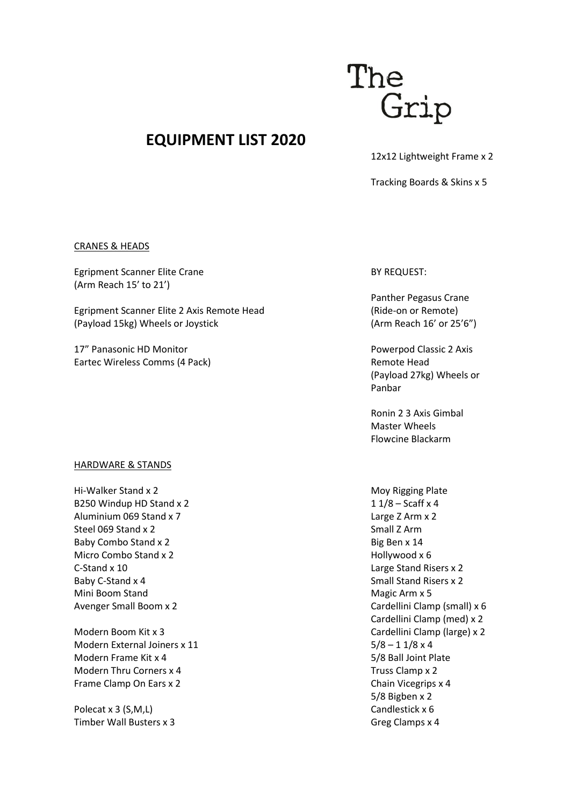

## **EQUIPMENT LIST 2020**

12x12 Lightweight Frame x 2

Tracking Boards & Skins x 5

CRANES & HEADS

Egripment Scanner Elite Crane (Arm Reach 15' to 21')

Egripment Scanner Elite 2 Axis Remote Head (Payload 15kg) Wheels or Joystick

17" Panasonic HD Monitor Eartec Wireless Comms (4 Pack)

#### HARDWARE & STANDS

Hi-Walker Stand x 2 B250 Windup HD Stand x 2 Aluminium 069 Stand x 7 Steel 069 Stand x 2 Baby Combo Stand x 2 Micro Combo Stand x 2 C-Stand x 10 Baby C-Stand x 4 Mini Boom Stand Avenger Small Boom x 2

Modern Boom Kit x 3 Modern External Joiners x 11 Modern Frame Kit x 4 Modern Thru Corners x 4 Frame Clamp On Ears x 2

Polecat x 3 (S,M,L) Timber Wall Busters x 3

#### BY REQUEST:

Panther Pegasus Crane (Ride-on or Remote) (Arm Reach 16' or 25'6")

Powerpod Classic 2 Axis Remote Head (Payload 27kg) Wheels or Panbar

Ronin 2 3 Axis Gimbal Master Wheels Flowcine Blackarm

Moy Rigging Plate 1 1/8 – Scaff x 4 Large Z Arm x 2 Small Z Arm Big Ben x 14 Hollywood x 6 Large Stand Risers x 2 Small Stand Risers x 2 Magic Arm x 5 Cardellini Clamp (small) x 6 Cardellini Clamp (med) x 2 Cardellini Clamp (large) x 2  $5/8 - 11/8 \times 4$ 5/8 Ball Joint Plate Truss Clamp x 2 Chain Vicegrips x 4 5/8 Bigben x 2 Candlestick x 6 Greg Clamps x 4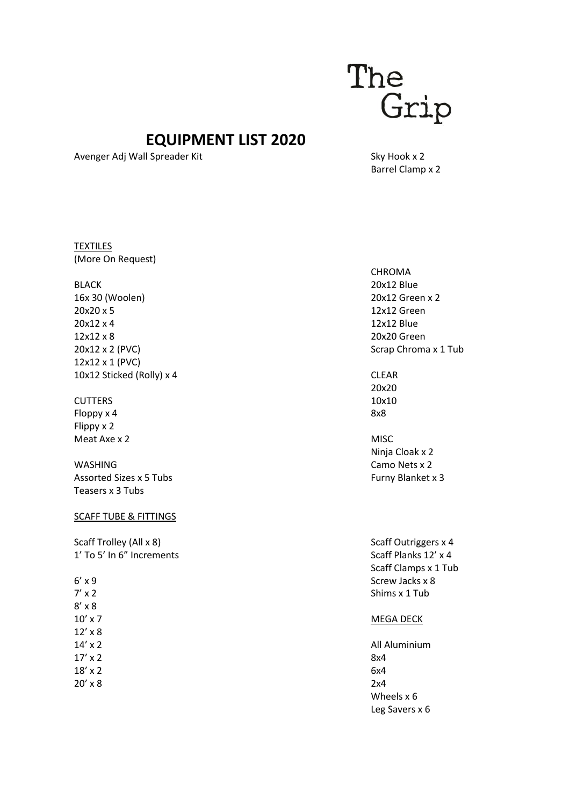

## **EQUIPMENT LIST 2020**

Avenger Adj Wall Spreader Kit Sky Hook x 2

Barrel Clamp x 2

TEXTILES (More On Request)

BLACK 16x 30 (Woolen) 20x20 x 5 20x12 x 4 12x12 x 8 20x12 x 2 (PVC) 12x12 x 1 (PVC) 10x12 Sticked (Rolly) x 4

**CUTTERS** Floppy x 4 Flippy x 2 Meat Axe x 2

WASHING Assorted Sizes x 5 Tubs Teasers x 3 Tubs

#### SCAFF TUBE & FITTINGS

Scaff Trolley (All x 8) 1' To 5' In 6" Increments

6' x 9  $7' \times 2$ 8' x 8 10' x 7  $12' \times 8$ 14' x 2 17' x 2 18' x 2 20' x 8 CHROMA 20x12 Blue 20x12 Green x 2 12x12 Green 12x12 Blue 20x20 Green Scrap Chroma x 1 Tub

CLEAR 20x20 10x10 8x8

MISC Ninja Cloak x 2 Camo Nets x 2 Furny Blanket x 3

Scaff Outriggers x 4 Scaff Planks 12' x 4 Scaff Clamps x 1 Tub Screw Jacks x 8 Shims x 1 Tub

#### MEGA DECK

All Aluminium 8x4 6x4 2x4 Wheels x 6 Leg Savers x 6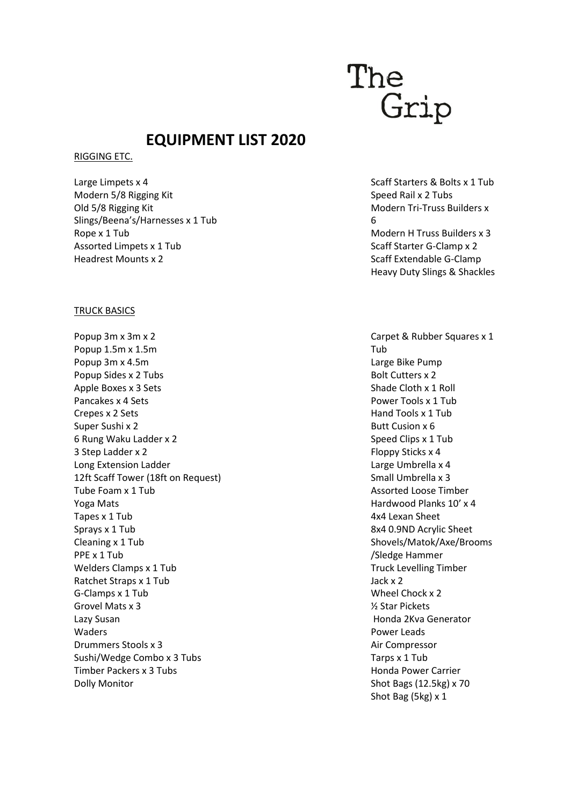## **EQUIPMENT LIST 2020**

### RIGGING ETC.

Large Limpets x 4 Modern 5/8 Rigging Kit Old 5/8 Rigging Kit Slings/Beena's/Harnesses x 1 Tub Rope x 1 Tub Assorted Limpets x 1 Tub Headrest Mounts x 2

#### TRUCK BASICS

Popup 3m x 3m x 2 Popup 1.5m x 1.5m Popup 3m x 4.5m Popup Sides x 2 Tubs Apple Boxes x 3 Sets Pancakes x 4 Sets Crepes x 2 Sets Super Sushi x 2 6 Rung Waku Ladder x 2 3 Step Ladder x 2 Long Extension Ladder 12ft Scaff Tower (18ft on Request) Tube Foam x 1 Tub Yoga Mats Tapes x 1 Tub Sprays x 1 Tub Cleaning x 1 Tub PPE x 1 Tub Welders Clamps x 1 Tub Ratchet Straps x 1 Tub G-Clamps x 1 Tub Grovel Mats x 3 Lazy Susan Waders Drummers Stools x 3 Sushi/Wedge Combo x 3 Tubs Timber Packers x 3 Tubs Dolly Monitor

Scaff Starters & Bolts x 1 Tub Speed Rail x 2 Tubs Modern Tri-Truss Builders x 6 Modern H Truss Builders x 3 Scaff Starter G-Clamp x 2 Scaff Extendable G-Clamp Heavy Duty Slings & Shackles

Carpet & Rubber Squares x 1 Tub Large Bike Pump Bolt Cutters x 2 Shade Cloth x 1 Roll Power Tools x 1 Tub Hand Tools x 1 Tub Butt Cusion x 6 Speed Clips x 1 Tub Floppy Sticks x 4 Large Umbrella x 4 Small Umbrella x 3 Assorted Loose Timber Hardwood Planks 10' x 4 4x4 Lexan Sheet 8x4 0.9ND Acrylic Sheet Shovels/Matok/Axe/Brooms /Sledge Hammer Truck Levelling Timber Jack x 2 Wheel Chock x 2 ½ Star Pickets Honda 2Kva Generator Power Leads Air Compressor Tarps x 1 Tub Honda Power Carrier Shot Bags (12.5kg) x 70 Shot Bag (5kg) x 1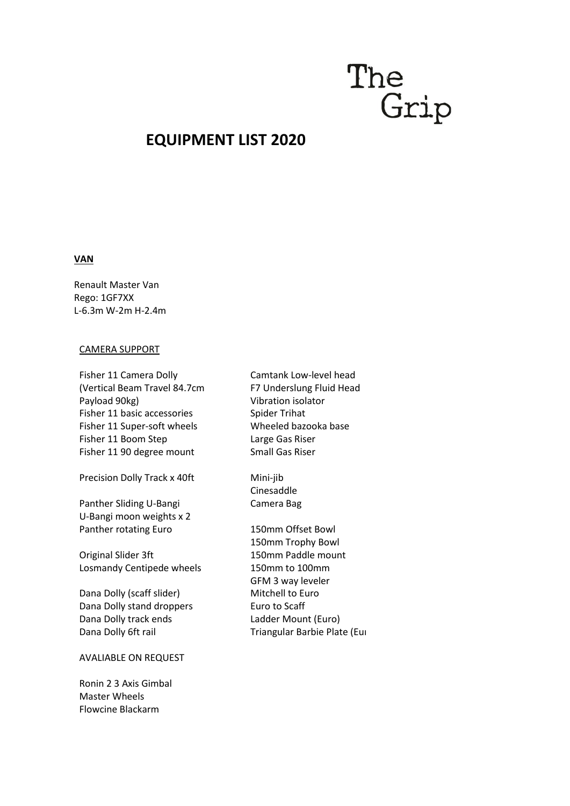## **EQUIPMENT LIST 2020**

## **VAN**

Renault Master Van Rego: 1GF7XX L-6.3m W-2m H-2.4m

#### CAMERA SUPPORT

Fisher 11 Camera Dolly (Vertical Beam Travel 84.7cm Payload 90kg) Fisher 11 basic accessories Fisher 11 Super-soft wheels Fisher 11 Boom Step Fisher 11 90 degree mount

Precision Dolly Track x 40ft

Panther Sliding U-Bangi U-Bangi moon weights x 2 Panther rotating Euro

Original Slider 3ft Losmandy Centipede wheels

Dana Dolly (scaff slider) Dana Dolly stand droppers Dana Dolly track ends Dana Dolly 6ft rail

### AVALIABLE ON REQUEST

Ronin 2 3 Axis Gimbal Master Wheels Flowcine Blackarm

Camtank Low-level head F7 Underslung Fluid Head Vibration isolator Spider Trihat Wheeled bazooka base Large Gas Riser Small Gas Riser

Mini-jib Cinesaddle Camera Bag

150mm Offset Bowl 150mm Trophy Bowl 150mm Paddle mount 150mm to 100mm GFM 3 way leveler Mitchell to Euro Euro to Scaff Ladder Mount (Euro) Triangular Barbie Plate (Eur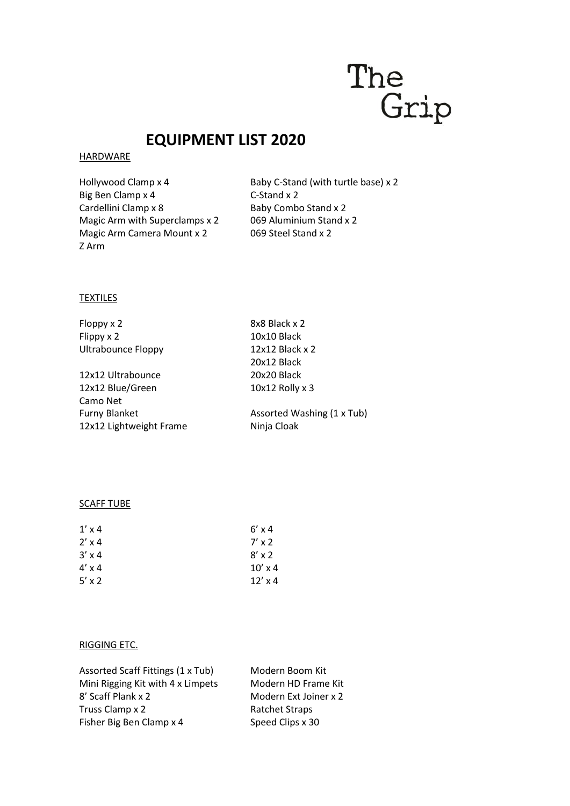## **EQUIPMENT LIST 2020**

### HARDWARE

Hollywood Clamp x 4 Big Ben Clamp x 4 Cardellini Clamp x 8 Magic Arm with Superclamps x 2 Magic Arm Camera Mount x 2 Z Arm

Baby C-Stand (with turtle base) x 2 C-Stand x 2 Baby Combo Stand x 2 069 Aluminium Stand x 2 069 Steel Stand x 2

## TEXTILES

Floppy x 2 Flippy x 2 Ultrabounce Floppy

12x12 Ultrabounce 12x12 Blue/Green Camo Net Furny Blanket 12x12 Lightweight Frame 8x8 Black x 2 10x10 Black 12x12 Black x 2 20x12 Black 20x20 Black 10x12 Rolly x 3

Assorted Washing (1 x Tub) Ninja Cloak

## SCAFF TUBE

| $1' \times 4$ | $6' \times 4$  |
|---------------|----------------|
| $2' \times 4$ | $7' \times 2$  |
| $3' \times 4$ | $8' \times 2$  |
| $4' \times 4$ | $10'$ x 4      |
| $5'$ x 2      | $12' \times 4$ |

## RIGGING ETC.

Assorted Scaff Fittings (1 x Tub) Mini Rigging Kit with 4 x Limpets 8' Scaff Plank x 2 Truss Clamp x 2 Fisher Big Ben Clamp x 4

Modern Boom Kit Modern HD Frame Kit Modern Ext Joiner x 2 Ratchet Straps Speed Clips x 30